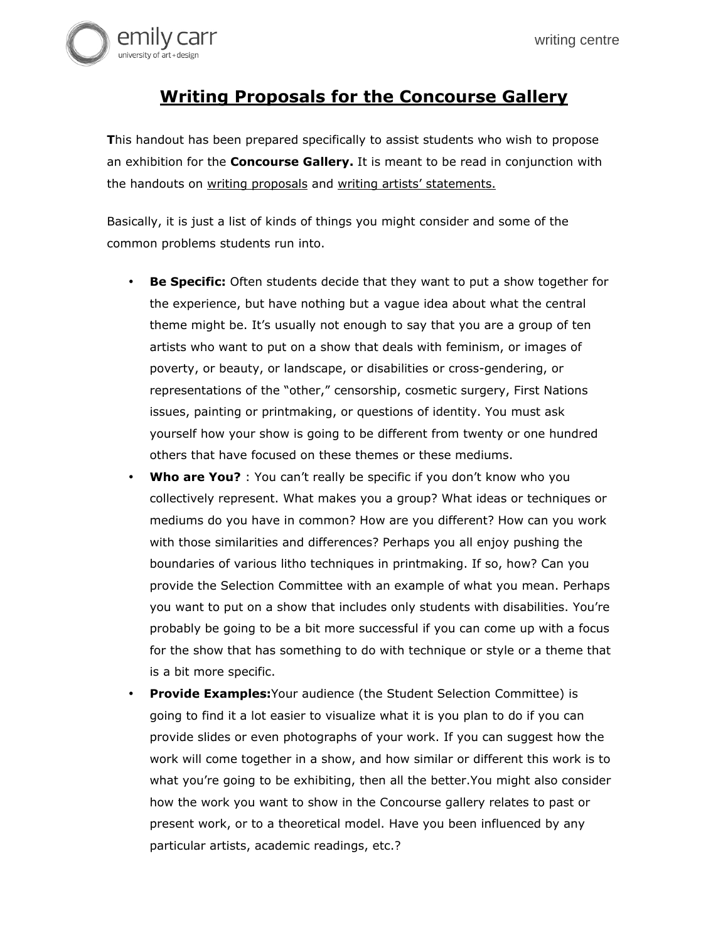

## **Writing Proposals for the Concourse Gallery**

**T**his handout has been prepared specifically to assist students who wish to propose an exhibition for the **Concourse Gallery.** It is meant to be read in conjunction with the handouts on writing proposals and writing artists' statements.

Basically, it is just a list of kinds of things you might consider and some of the common problems students run into.

- **Be Specific:** Often students decide that they want to put a show together for the experience, but have nothing but a vague idea about what the central theme might be. It's usually not enough to say that you are a group of ten artists who want to put on a show that deals with feminism, or images of poverty, or beauty, or landscape, or disabilities or cross-gendering, or representations of the "other," censorship, cosmetic surgery, First Nations issues, painting or printmaking, or questions of identity. You must ask yourself how your show is going to be different from twenty or one hundred others that have focused on these themes or these mediums.
- **Who are You?** : You can't really be specific if you don't know who you collectively represent. What makes you a group? What ideas or techniques or mediums do you have in common? How are you different? How can you work with those similarities and differences? Perhaps you all enjoy pushing the boundaries of various litho techniques in printmaking. If so, how? Can you provide the Selection Committee with an example of what you mean. Perhaps you want to put on a show that includes only students with disabilities. You're probably be going to be a bit more successful if you can come up with a focus for the show that has something to do with technique or style or a theme that is a bit more specific.
- **Provide Examples:**Your audience (the Student Selection Committee) is going to find it a lot easier to visualize what it is you plan to do if you can provide slides or even photographs of your work. If you can suggest how the work will come together in a show, and how similar or different this work is to what you're going to be exhibiting, then all the better.You might also consider how the work you want to show in the Concourse gallery relates to past or present work, or to a theoretical model. Have you been influenced by any particular artists, academic readings, etc.?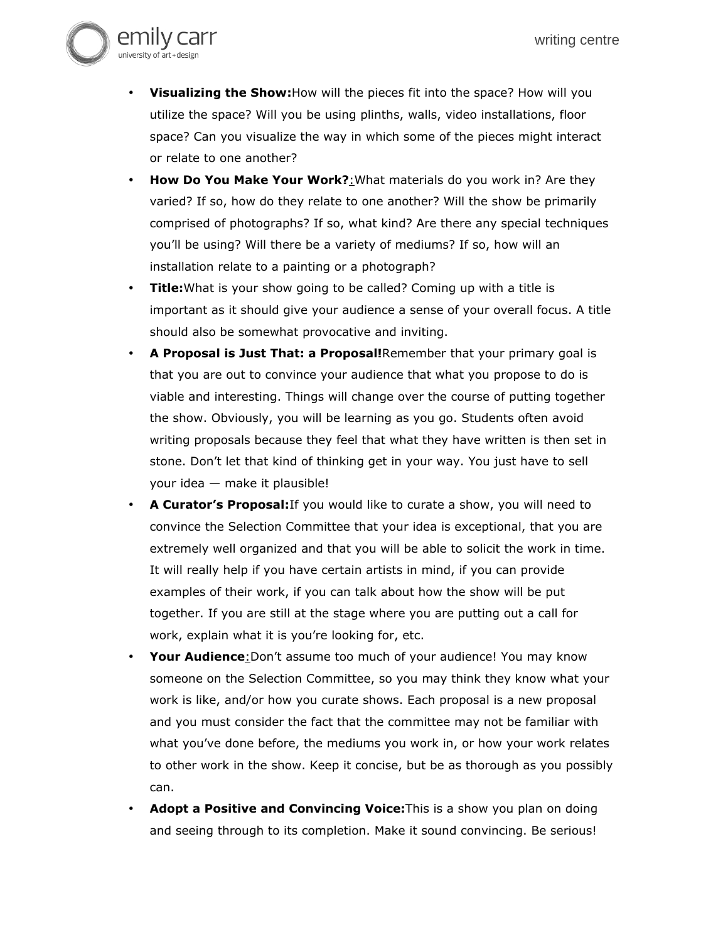

- **How Do You Make Your Work?**:What materials do you work in? Are they varied? If so, how do they relate to one another? Will the show be primarily comprised of photographs? If so, what kind? Are there any special techniques you'll be using? Will there be a variety of mediums? If so, how will an installation relate to a painting or a photograph?
- **Title:**What is your show going to be called? Coming up with a title is important as it should give your audience a sense of your overall focus. A title should also be somewhat provocative and inviting.
- **A Proposal is Just That: a Proposal!**Remember that your primary goal is that you are out to convince your audience that what you propose to do is viable and interesting. Things will change over the course of putting together the show. Obviously, you will be learning as you go. Students often avoid writing proposals because they feel that what they have written is then set in stone. Don't let that kind of thinking get in your way. You just have to sell your idea — make it plausible!
- **A Curator's Proposal:**If you would like to curate a show, you will need to convince the Selection Committee that your idea is exceptional, that you are extremely well organized and that you will be able to solicit the work in time. It will really help if you have certain artists in mind, if you can provide examples of their work, if you can talk about how the show will be put together. If you are still at the stage where you are putting out a call for work, explain what it is you're looking for, etc.
- Your Audience: Don't assume too much of your audience! You may know someone on the Selection Committee, so you may think they know what your work is like, and/or how you curate shows. Each proposal is a new proposal and you must consider the fact that the committee may not be familiar with what you've done before, the mediums you work in, or how your work relates to other work in the show. Keep it concise, but be as thorough as you possibly can.
- **Adopt a Positive and Convincing Voice:**This is a show you plan on doing and seeing through to its completion. Make it sound convincing. Be serious!